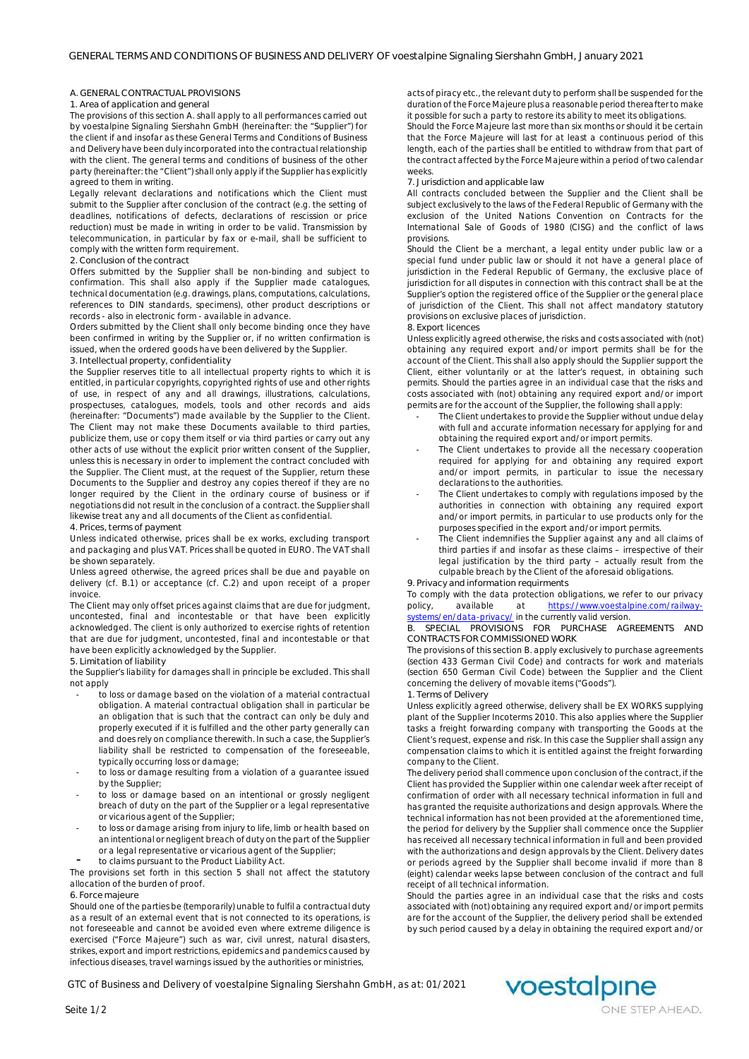## **A. GENERAL CONTRACTUAL PROVISIONS**

## **1. Area of application and general**

The provisions of this section A. shall apply to all performances carried out by voestalpine Signaling Siershahn GmbH (hereinafter: the "Supplier") for the client if and insofar as these General Terms and Conditions of Business and Delivery have been duly incorporated into the contractual relationship with the client. The general terms and conditions of business of the other party (hereinafter: the "Client") shall only apply if the Supplier has explicitly agreed to them in writing.

Legally relevant declarations and notifications which the Client must submit to the Supplier after conclusion of the contract (e.g. the setting of deadlines, notifications of defects, declarations of rescission or price reduction) must be made in writing in order to be valid. Transmission by telecommunication, in particular by fax or e-mail, shall be sufficient to comply with the written form requirement.

## **2. Conclusion of the contract**

Offers submitted by the Supplier shall be non-binding and subject to confirmation. This shall also apply if the Supplier made catalogues, technical documentation (e.g. drawings, plans, computations, calculations, references to DIN standards, specimens), other product descriptions or records - also in electronic form - available in advance.

Orders submitted by the Client shall only become binding once they have been confirmed in writing by the Supplier or, if no written confirmation is issued, when the ordered goods have been delivered by the Supplier.

# **3. Intellectual property, confidentiality**

the Supplier reserves title to all intellectual property rights to which it is entitled, in particular copyrights, copyrighted rights of use and other rights of use, in respect of any and all drawings, illustrations, calculations, prospectuses, catalogues, models, tools and other records and aids (hereinafter: "Documents") made available by the Supplier to the Client. The Client may not make these Documents available to third parties, publicize them, use or copy them itself or via third parties or carry out any other acts of use without the explicit prior written consent of the Supplier, unless this is necessary in order to implement the contract concluded with the Supplier. The Client must, at the request of the Supplier, return these Documents to the Supplier and destroy any copies thereof if they are no longer required by the Client in the ordinary course of business or if negotiations did not result in the conclusion of a contract. the Supplier shall likewise treat any and all documents of the Client as confidential.

## **4. Prices, terms of payment**

Unless indicated otherwise, prices shall be ex works, excluding transport and packaging and plus VAT. Prices shall be quoted in EURO. The VAT shall be shown separately.

Unless agreed otherwise, the agreed prices shall be due and payable on delivery (cf. B.1) or acceptance (cf. C.2) and upon receipt of a proper invoice.

The Client may only offset prices against claims that are due for judgment, uncontested, final and incontestable or that have been explicitly acknowledged. The client is only authorized to exercise rights of retention that are due for judgment, uncontested, final and incontestable or that have been explicitly acknowledged by the Supplier.

## **5. Limitation of liability**

the Supplier's liability for damages shall in principle be excluded. This shall not apply

- to loss or damage based on the violation of a material contractual obligation. A material contractual obligation shall in particular be an obligation that is such that the contract can only be duly and properly executed if it is fulfilled and the other party generally can and does rely on compliance therewith. In such a case, the Supplier's liability shall be restricted to compensation of the foreseeable, typically occurring loss or damage;
- to loss or damage resulting from a violation of a guarantee issued by the Supplier
- to loss or damage based on an intentional or grossly negligent breach of duty on the part of the Supplier or a legal representative or vicarious agent of the Supplier;
- to loss or damage arising from injury to life, limb or health based on an intentional or negligent breach of duty on the part of the Supplier or a legal representative or vicarious agent of the Supplier;
- to claims pursuant to the Product Liability Act.

The provisions set forth in this section 5 shall not affect the statutory allocation of the burden of proof.

## **6. Force majeure**

Should one of the parties be (temporarily) unable to fulfil a contractual duty as a result of an external event that is not connected to its operations, is not foreseeable and cannot be avoided even where extreme diligence is exercised ("Force Majeure") such as war, civil unrest, natural disasters, strikes, export and import restrictions, epidemics and pandemics caused by infectious diseases, travel warnings issued by the authorities or ministries,

acts of piracy etc., the relevant duty to perform shall be suspended for the duration of the Force Majeure plus a reasonable period thereafter to make it possible for such a party to restore its ability to meet its obligations.

Should the Force Majeure last more than six months or should it be certain that the Force Majeure will last for at least a continuous period of this length, each of the parties shall be entitled to withdraw from that part of the contract affected by the Force Majeure within a period of two calendar weeks.

## **7. Jurisdiction and applicable law**

All contracts concluded between the Supplier and the Client shall be subject exclusively to the laws of the Federal Republic of Germany with the exclusion of the United Nations Convention on Contracts for the International Sale of Goods of 1980 (CISG) and the conflict of laws provisions.

Should the Client be a merchant, a legal entity under public law or a special fund under public law or should it not have a general place of jurisdiction in the Federal Republic of Germany, the exclusive place of jurisdiction for all disputes in connection with this contract shall be at the Supplier's option the registered office of the Supplier or the general place of jurisdiction of the Client. This shall not affect mandatory statutory provisions on exclusive places of jurisdiction.

#### **8. Export licences**

Unless explicitly agreed otherwise, the risks and costs associated with (not) obtaining any required export and/or import permits shall be for the account of the Client. This shall also apply should the Supplier support the Client, either voluntarily or at the latter's request, in obtaining such permits. Should the parties agree in an individual case that the risks and costs associated with (not) obtaining any required export and/or import permits are for the account of the Supplier, the following shall apply:

- The Client undertakes to provide the Supplier without undue delay with full and accurate information necessary for applying for and obtaining the required export and/or import permits.
- The Client undertakes to provide all the necessary cooperation required for applying for and obtaining any required export and/or import permits, in particular to issue the necessary declarations to the authorities.
- The Client undertakes to comply with regulations imposed by the authorities in connection with obtaining any required export and/or import permits, in particular to use products only for the purposes specified in the export and/or import permits.
- The Client indemnifies the Supplier against any and all claims of third parties if and insofar as these claims – irrespective of their legal justification by the third party – actually result from the culpable breach by the Client of the aforesaid obligations.

# **9. Privacy and information requirments**

To comply with the data protection obligations, we refer to our privacy policy, available at https://www.voestalpine.com/railway-

systems/en/data-privacy[/ in the cu](https://www.voestalpine.com/railway-systems/en/data-privacy/)rrently valid version.<br>B. SPECIAL PROVISIONS FOR PURCHASE AG **B. SPECIAL PROVISIONS FOR PURCHASE AGREEMENTS AND CONTRACTS FOR COMMISSIONED WORK**

The provisions of this section B. apply exclusively to purchase agreements (section 433 German Civil Code) and contracts for work and materials (section 650 German Civil Code) between the Supplier and the Client concerning the delivery of movable items ("Goods"). **1. Terms of Delivery**

Unless explicitly agreed otherwise, delivery shall be EX WORKS supplying plant of the Supplier Incoterms 2010. This also applies where the Supplier tasks a freight forwarding company with transporting the Goods at the Client's request, expense and risk. In this case the Supplier shall assign any compensation claims to which it is entitled against the freight forwarding company to the Client.

The delivery period shall commence upon conclusion of the contract, if the Client has provided the Supplier within one calendar week after receipt of confirmation of order with all necessary technical information in full and has granted the requisite authorizations and design approvals. Where the technical information has not been provided at the aforementioned time, the period for delivery by the Supplier shall commence once the Supplier has received all necessary technical information in full and been provided with the authorizations and design approvals by the Client. Delivery dates or periods agreed by the Supplier shall become invalid if more than 8 (eight) calendar weeks lapse between conclusion of the contract and full receipt of all technical information.

Should the parties agree in an individual case that the risks and costs associated with (not) obtaining any required export and/or import permits are for the account of the Supplier, the delivery period shall be extended by such period caused by a delay in obtaining the required export and/or

GTC of Business and Delivery of voestalpine Signaling Siershahn GmbH, as at: 01/2021

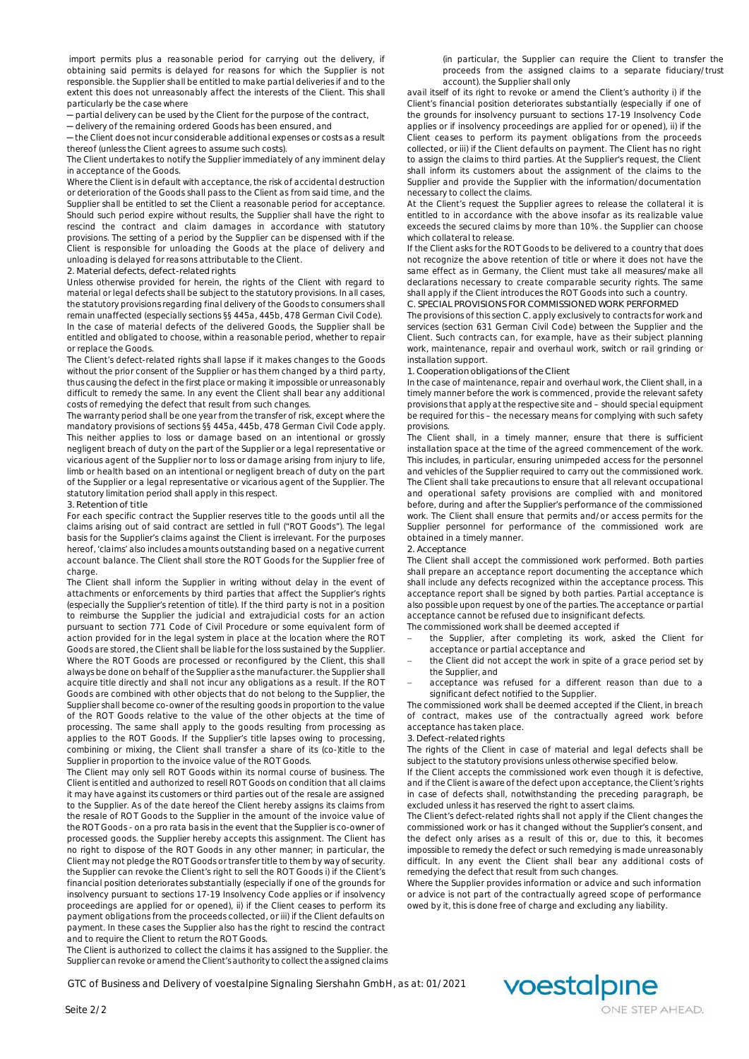import permits plus a reasonable period for carrying out the delivery, if obtaining said permits is delayed for reasons for which the Supplier is not responsible. the Supplier shall be entitled to make partial deliveries if and to the extent this does not unreasonably affect the interests of the Client. This shall particularly be the case where

.<br>− partial delivery can be used by the Client for the purpose of the contract,

─ delivery of the remaining ordered Goods has been ensured, and

- the Client does not incur considerable additional expenses or costs as a result thereof (unless the Client agrees to assume such costs).

The Client undertakes to notify the Supplier immediately of any imminent delay in acceptance of the Goods.

Where the Client is in default with acceptance, the risk of accidental destruction or deterioration of the Goods shall pass to the Client as from said time, and the Supplier shall be entitled to set the Client a reasonable period for acceptance. Should such period expire without results, the Supplier shall have the right to rescind the contract and claim damages in accordance with statutory provisions. The setting of a period by the Supplier can be dispensed with if the Client is responsible for unloading the Goods at the place of delivery and unloading is delayed for reasons attributable to the Client.

**2. Material defects, defect-related rights**

Unless otherwise provided for herein, the rights of the Client with regard to material or legal defects shall be subject to the statutory provisions. In all cases, the statutory provisions regarding final delivery of the Goods to consumers shall remain unaffected (especially sections §§ 445a, 445b, 478 German Civil Code). In the case of material defects of the delivered Goods, the Supplier shall be entitled and obligated to choose, within a reasonable period, whether to repair

# or replace the Goods.

The Client's defect-related rights shall lapse if it makes changes to the Goods without the prior consent of the Supplier or has them changed by a third party, thus causing the defect in the first place or making it impossible or unreasonably difficult to remedy the same. In any event the Client shall bear any additional costs of remedying the defect that result from such changes.

The warranty period shall be one year from the transfer of risk, except where the mandatory provisions of sections §§ 445a, 445b, 478 German Civil Code apply. This neither applies to loss or damage based on an intentional or grossly negligent breach of duty on the part of the Supplier or a legal representative or vicarious agent of the Supplier nor to loss or damage arising from injury to life, limb or health based on an intentional or negligent breach of duty on the part of the Supplier or a legal representative or vicarious agent of the Supplier. The statutory limitation period shall apply in this respect.

#### **3. Retention of title**

For each specific contract the Supplier reserves title to the goods until all the claims arising out of said contract are settled in full ("ROT Goods"). The legal basis for the Supplier's claims against the Client is irrelevant. For the purposes hereof, 'claims' also includes amounts outstanding based on a negative current account balance. The Client shall store the ROT Goods for the Supplier free of charge.

The Client shall inform the Supplier in writing without delay in the event of attachments or enforcements by third parties that affect the Supplier's rights (especially the Supplier's retention of title). If the third party is not in a position to reimburse the Supplier the judicial and extrajudicial costs for an action pursuant to section 771 Code of Civil Procedure or some equivalent form of action provided for in the legal system in place at the location where the ROT Goods are stored, the Client shall be liable for the loss sustained by the Supplier. Where the ROT Goods are processed or reconfigured by the Client, this shall always be done on behalf of the Supplier as the manufacturer. the Supplier shall acquire title directly and shall not incur any obligations as a result. If the ROT Goods are combined with other objects that do not belong to the Supplier, the Supplier shall become co-owner of the resulting goods in proportion to the value of the ROT Goods relative to the value of the other objects at the time of processing. The same shall apply to the goods resulting from processing as applies to the ROT Goods. If the Supplier's title lapses owing to processing, combining or mixing, the Client shall transfer a share of its (co-)title to the Supplier in proportion to the invoice value of the ROT Goods.

The Client may only sell ROT Goods within its normal course of business. The Client is entitled and authorized to resell ROT Goods on condition that all claims it may have against its customers or third parties out of the resale are assigned to the Supplier. As of the date hereof the Client hereby assigns its claims from the resale of ROT Goods to the Supplier in the amount of the invoice value of the ROT Goods - on a pro rata basis in the event that the Supplier is co-owner of processed goods. the Supplier hereby accepts this assignment. The Client has no right to dispose of the ROT Goods in any other manner; in particular, the Client may not pledge the ROT Goods or transfer title to them by way of security. the Supplier can revoke the Client's right to sell the ROT Goods i) if the Client's financial position deteriorates substantially (especially if one of the grounds for insolvency pursuant to sections 17-19 Insolvency Code applies or if insolvency proceedings are applied for or opened), ii) if the Client ceases to perform its payment obligations from the proceeds collected, or iii) if the Client defaults on payment. In these cases the Supplier also has the right to rescind the contract and to require the Client to return the ROT Goods.

The Client is authorized to collect the claims it has assigned to the Supplier. the Supplier can revoke or amend the Client's authority to collect the assigned claims

GTC of Business and Delivery of voestalpine Signaling Siershahn GmbH, as at: 01/2021

(in particular, the Supplier can require the Client to transfer the proceeds from the assigned claims to a separate fiduciary/trust account). the Supplier shall only

avail itself of its right to revoke or amend the Client's authority i) if the Client's financial position deteriorates substantially (especially if one of the grounds for insolvency pursuant to sections 17-19 Insolvency Code applies or if insolvency proceedings are applied for or opened), ii) if the Client ceases to perform its payment obligations from the proceeds collected, or iii) if the Client defaults on payment. The Client has no right to assign the claims to third parties. At the Supplier's request, the Client shall inform its customers about the assignment of the claims to the Supplier and provide the Supplier with the information/documentation necessary to collect the claims.

At the Client's request the Supplier agrees to release the collateral it is entitled to in accordance with the above insofar as its realizable value exceeds the secured claims by more than 10%. the Supplier can choose which collateral to release.

If the Client asks for the ROT Goods to be delivered to a country that does not recognize the above retention of title or where it does not have the same effect as in Germany, the Client must take all measures/make all declarations necessary to create comparable security rights. The same shall apply if the Client introduces the ROT Goods into such a country. **C. SPECIAL PROVISIONS FOR COMMISSIONED WORK PERFORMED**

The provisions of this section C. apply exclusively to contracts for work and services (section 631 German Civil Code) between the Supplier and the Client. Such contracts can, for example, have as their subject planning work, maintenance, repair and overhaul work, switch or rail grinding or installation support.

**1. Cooperation obligations of the Client**

In the case of maintenance, repair and overhaul work, the Client shall, in a timely manner before the work is commenced, provide the relevant safety provisions that apply at the respective site and – should special equipment be required for this – the necessary means for complying with such safety provisions.

The Client shall, in a timely manner, ensure that there is sufficient installation space at the time of the agreed commencement of the work. This includes, in particular, ensuring unimpeded access for the personnel and vehicles of the Supplier required to carry out the commissioned work. The Client shall take precautions to ensure that all relevant occupational and operational safety provisions are complied with and monitored before, during and after the Supplier's performance of the commissioned work. The Client shall ensure that permits and/or access permits for the Supplier personnel for performance of the commissioned work are obtained in a timely manner.

#### **2. Acceptance**

The Client shall accept the commissioned work performed. Both parties shall prepare an acceptance report documenting the acceptance which shall include any defects recognized within the acceptance process. This acceptance report shall be signed by both parties. Partial acceptance is also possible upon request by one of the parties. The acceptance or partial acceptance cannot be refused due to insignificant defects.

The commissioned work shall be deemed accepted if

- the Supplier, after completing its work, asked the Client for acceptance or partial acceptance and
- the Client did not accept the work in spite of a grace period set by the Supplier, and
- acceptance was refused for a different reason than due to a significant defect notified to the Supplier.

The commissioned work shall be deemed accepted if the Client, in breach of contract, makes use of the contractually agreed work before acceptance has taken place.

**3. Defect-related rights**

The rights of the Client in case of material and legal defects shall be subject to the statutory provisions unless otherwise specified below.

If the Client accepts the commissioned work even though it is defective, and if the Client is aware of the defect upon acceptance, the Client's rights in case of defects shall, notwithstanding the preceding paragraph, be excluded unless it has reserved the right to assert claims.

The Client's defect-related rights shall not apply if the Client changes the commissioned work or has it changed without the Supplier's consent, and the defect only arises as a result of this or, due to this, it becomes impossible to remedy the defect or such remedying is made unreasonably difficult. In any event the Client shall bear any additional costs of remedying the defect that result from such changes.

Where the Supplier provides information or advice and such information or advice is not part of the contractually agreed scope of performance owed by it, this is done free of charge and excluding any liability.